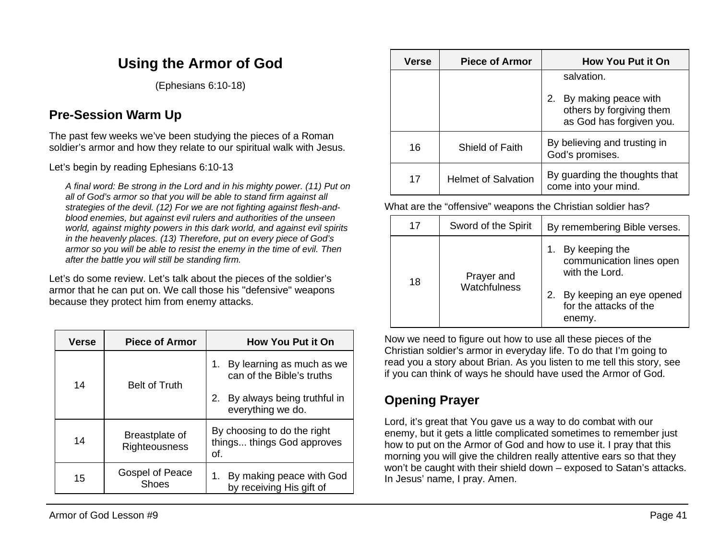# **Using the Armor of God**

(Ephesians 6:10-18)

## **Pre-Session Warm Up**

The past few weeks we've been studying the pieces of a Roman soldier's armor and how they relate to our spiritual walk with Jesus.

Let's begin by reading Ephesians 6:10-13

*A final word: Be strong in the Lord and in his mighty power. (11) Put on all of God's armor so that you will be able to stand firm against all strategies of the devil. (12) For we are not fighting against flesh-andblood enemies, but against evil rulers and authorities of the unseen world, against mighty powers in this dark world, and against evil spirits in the heavenly places. (13) Therefore, put on every piece of God's armor so you will be able to resist the enemy in the time of evil. Then after the battle you will still be standing firm.*

Let's do some review. Let's talk about the pieces of the soldier's armor that he can put on. We call those his "defensive" weapons because they protect him from enemy attacks.

| Verse | <b>Piece of Armor</b>           | <b>How You Put it On</b>                                         |
|-------|---------------------------------|------------------------------------------------------------------|
| 14    | <b>Belt of Truth</b>            | By learning as much as we<br>1.<br>can of the Bible's truths     |
|       |                                 | By always being truthful in<br>2.<br>everything we do.           |
| 14    | Breastplate of<br>Righteousness | By choosing to do the right<br>things things God approves<br>of. |
| 15    | Gospel of Peace<br><b>Shoes</b> | By making peace with God<br>by receiving His gift of             |

| <b>Verse</b> | <b>Piece of Armor</b>      | <b>How You Put it On</b>                                                        |
|--------------|----------------------------|---------------------------------------------------------------------------------|
|              |                            | salvation.                                                                      |
|              |                            | 2. By making peace with<br>others by forgiving them<br>as God has forgiven you. |
| 16           | Shield of Faith            | By believing and trusting in<br>God's promises.                                 |
| 17           | <b>Helmet of Salvation</b> | By guarding the thoughts that<br>come into your mind.                           |

What are the "offensive" weapons the Christian soldier has?

| 17 | Sword of the Spirit        | By remembering Bible verses.                                                                   |
|----|----------------------------|------------------------------------------------------------------------------------------------|
| 18 | Prayer and<br>Watchfulness | By keeping the<br>communication lines open<br>with the Lord.<br>By keeping an eye opened<br>2. |
|    |                            | for the attacks of the<br>enemy.                                                               |

Now we need to figure out how to use all these pieces of the Christian soldier's armor in everyday life. To do that I'm going to read you a story about Brian. As you listen to me tell this story, see if you can think of ways he should have used the Armor of God.

# **Opening Prayer**

Lord, it's great that You gave us a way to do combat with our enemy, but it gets a little complicated sometimes to remember just how to put on the Armor of God and how to use it. I pray that this morning you will give the children really attentive ears so that they won't be caught with their shield down – exposed to Satan's attacks. In Jesus' name, I pray. Amen.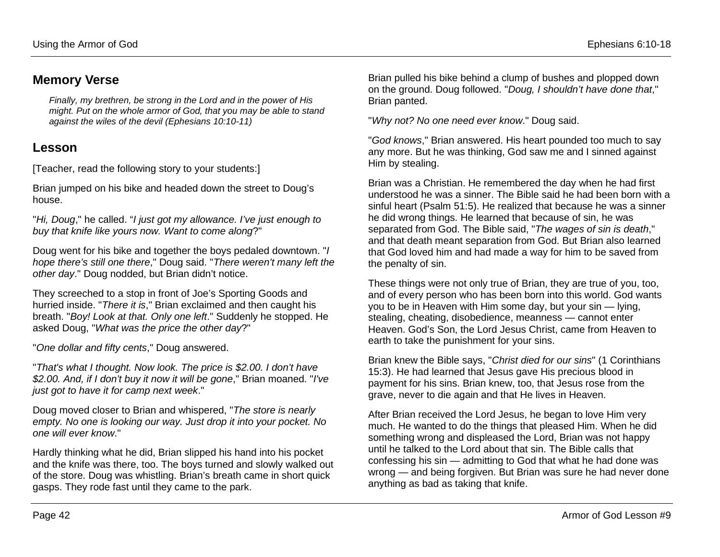#### **Memory Verse**

*Finally, my brethren, be strong in the Lord and in the power of His might. Put on the whole armor of God, that you may be able to stand against the wiles of the devil (Ephesians 10:10-11)*

#### **Lesson**

[Teacher, read the following story to your students:]

Brian jumped on his bike and headed down the street to Doug's house.

"*Hi, Doug*," he called. "*I just got my allowance. I've just enough to buy that knife like yours now. Want to come along*?"

Doug went for his bike and together the boys pedaled downtown. "*I hope there's still one there*," Doug said. "*There weren't many left the other day*." Doug nodded, but Brian didn't notice.

They screeched to a stop in front of Joe's Sporting Goods and hurried inside. "*There it is*," Brian exclaimed and then caught his breath. "*Boy! Look at that. Only one left*." Suddenly he stopped. He asked Doug, "*What was the price the other day*?"

"*One dollar and fifty cents*," Doug answered.

"*That's what I thought. Now look. The price is \$2.00. I don't have \$2.00. And, if I don't buy it now it will be gone*," Brian moaned. "*I've just got to have it for camp next week*."

Doug moved closer to Brian and whispered, "*The store is nearly empty. No one is looking our way. Just drop it into your pocket. No one will ever know*."

Hardly thinking what he did, Brian slipped his hand into his pocket and the knife was there, too. The boys turned and slowly walked out of the store. Doug was whistling. Brian's breath came in short quick gasps. They rode fast until they came to the park.

Brian pulled his bike behind a clump of bushes and plopped down on the ground. Doug followed. "*Doug, I shouldn't have done that*," Brian panted.

"*Why not? No one need ever know*." Doug said.

"*God knows*," Brian answered. His heart pounded too much to say any more. But he was thinking, God saw me and I sinned against Him by stealing.

Brian was a Christian. He remembered the day when he had first understood he was a sinner. The Bible said he had been born with a sinful heart (Psalm 51:5). He realized that because he was a sinner he did wrong things. He learned that because of sin, he was separated from God. The Bible said, "*The wages of sin is death*," and that death meant separation from God. But Brian also learned that God loved him and had made a way for him to be saved from the penalty of sin.

These things were not only true of Brian, they are true of you, too, and of every person who has been born into this world. God wants you to be in Heaven with Him some day, but your sin — lying, stealing, cheating, disobedience, meanness — cannot enter Heaven. God's Son, the Lord Jesus Christ, came from Heaven to earth to take the punishment for your sins.

Brian knew the Bible says, "*Christ died for our sins*" (1 Corinthians 15:3). He had learned that Jesus gave His precious blood in payment for his sins. Brian knew, too, that Jesus rose from the grave, never to die again and that He lives in Heaven.

After Brian received the Lord Jesus, he began to love Him very much. He wanted to do the things that pleased Him. When he did something wrong and displeased the Lord, Brian was not happy until he talked to the Lord about that sin. The Bible calls that confessing his sin — admitting to God that what he had done was wrong — and being forgiven. But Brian was sure he had never done anything as bad as taking that knife.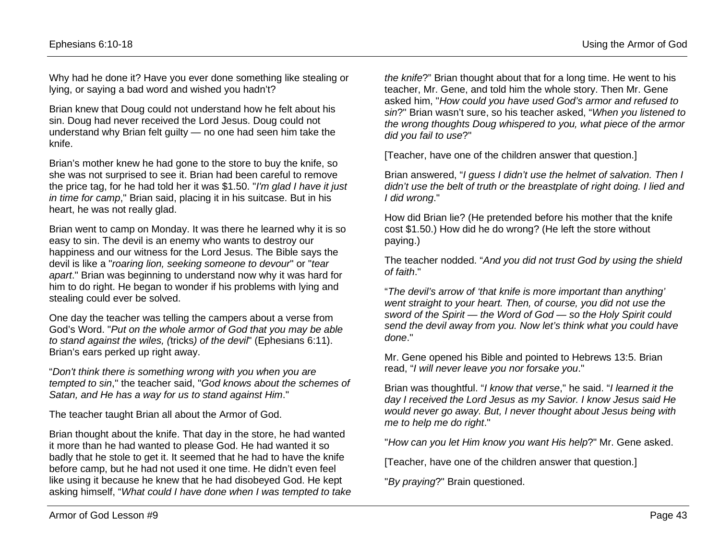Why had he done it? Have you ever done something like stealing or lying, or saying a bad word and wished you hadn't?

Brian knew that Doug could not understand how he felt about his sin. Doug had never received the Lord Jesus. Doug could not understand why Brian felt guilty — no one had seen him take the knife.

Brian's mother knew he had gone to the store to buy the knife, so she was not surprised to see it. Brian had been careful to remove the price tag, for he had told her it was \$1.50. "*I'm glad I have it just in time for camp*," Brian said, placing it in his suitcase. But in his heart, he was not really glad.

Brian went to camp on Monday. It was there he learned why it is so easy to sin. The devil is an enemy who wants to destroy our happiness and our witness for the Lord Jesus. The Bible says the devil is like a "*roaring lion, seeking someone to devour*" or "*tear apart*." Brian was beginning to understand now why it was hard for him to do right. He began to wonder if his problems with lying and stealing could ever be solved.

One day the teacher was telling the campers about a verse from God's Word. "*Put on the whole armor of God that you may be able to stand against the wiles, (*tricks*) of the devil*" (Ephesians 6:11). Brian's ears perked up right away.

"*Don't think there is something wrong with you when you are tempted to sin*," the teacher said, "*God knows about the schemes of Satan, and He has a way for us to stand against Him*."

The teacher taught Brian all about the Armor of God.

Brian thought about the knife. That day in the store, he had wanted it more than he had wanted to please God. He had wanted it so badly that he stole to get it. It seemed that he had to have the knife before camp, but he had not used it one time. He didn't even feel like using it because he knew that he had disobeyed God. He kept asking himself, "*What could I have done when I was tempted to take* 

*the knife*?" Brian thought about that for a long time. He went to his teacher, Mr. Gene, and told him the whole story. Then Mr. Gene asked him, "*How could you have used God's armor and refused to sin*?" Brian wasn't sure, so his teacher asked, "*When you listened to the wrong thoughts Doug whispered to you, what piece of the armor did you fail to use*?"

[Teacher, have one of the children answer that question.]

Brian answered, "*I guess I didn't use the helmet of salvation. Then I didn't use the belt of truth or the breastplate of right doing. I lied and I did wrong*."

How did Brian lie? (He pretended before his mother that the knife cost \$1.50.) How did he do wrong? (He left the store without paying.)

The teacher nodded. "*And you did not trust God by using the shield of faith*."

"*The devil's arrow of 'that knife is more important than anything' went straight to your heart. Then, of course, you did not use the sword of the Spirit — the Word of God — so the Holy Spirit could send the devil away from you. Now let's think what you could have done*."

Mr. Gene opened his Bible and pointed to Hebrews 13:5. Brian read, "*I will never leave you nor forsake you*."

Brian was thoughtful. "*I know that verse*," he said. "*I learned it the day I received the Lord Jesus as my Savior. I know Jesus said He would never go away. But, I never thought about Jesus being with me to help me do right*."

"*How can you let Him know you want His help*?" Mr. Gene asked.

[Teacher, have one of the children answer that question.]

"*By praying*?" Brain questioned.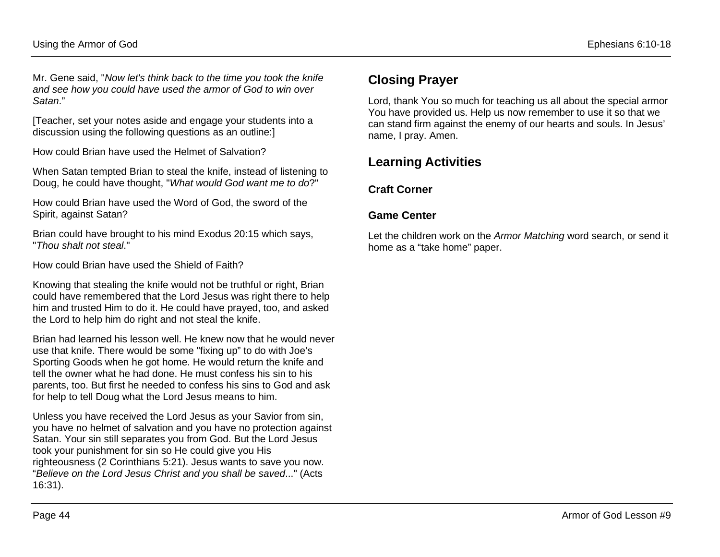Mr. Gene said, "*Now let's think back to the time you took the knife and see how you could have used the armor of God to win over Satan*."

[Teacher, set your notes aside and engage your students into a discussion using the following questions as an outline:]

How could Brian have used the Helmet of Salvation?

When Satan tempted Brian to steal the knife, instead of listening to Doug, he could have thought, "*What would God want me to do*?"

How could Brian have used the Word of God, the sword of the Spirit, against Satan?

Brian could have brought to his mind Exodus 20:15 which says, "*Thou shalt not steal*."

How could Brian have used the Shield of Faith?

Knowing that stealing the knife would not be truthful or right, Brian could have remembered that the Lord Jesus was right there to help him and trusted Him to do it. He could have prayed, too, and asked the Lord to help him do right and not steal the knife.

Brian had learned his lesson well. He knew now that he would never use that knife. There would be some "fixing up" to do with Joe's Sporting Goods when he got home. He would return the knife and tell the owner what he had done. He must confess his sin to his parents, too. But first he needed to confess his sins to God and ask for help to tell Doug what the Lord Jesus means to him.

Unless you have received the Lord Jesus as your Savior from sin, you have no helmet of salvation and you have no protection against Satan. Your sin still separates you from God. But the Lord Jesus took your punishment for sin so He could give you His righteousness (2 Corinthians 5:21). Jesus wants to save you now. "*Believe on the Lord Jesus Christ and you shall be saved*..." (Acts 16:31).

### **Closing Prayer**

Lord, thank You so much for teaching us all about the special armor You have provided us. Help us now remember to use it so that we can stand firm against the enemy of our hearts and souls. In Jesus' name, I pray. Amen.

### **Learning Activities**

#### **Craft Corner**

#### **Game Center**

Let the children work on the *Armor Matching* word search, or send it home as a "take home" paper.